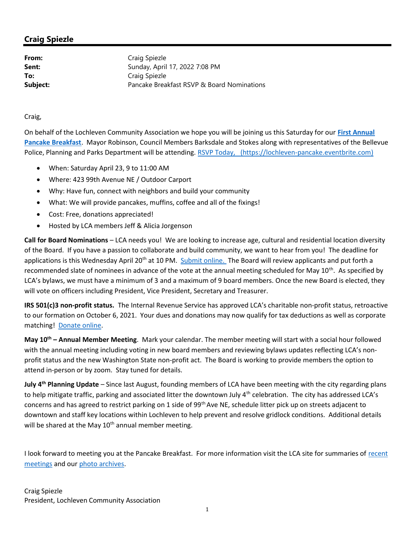## Craig Spiezle

From: Craig Spiezle **Sent:** Sunday, April 17, 2022 7:08 PM To: Craig Spiezle **Subject:** Pancake Breakfast RSVP & Board Nominations

Craig,

On behalf of the Lochleven Community Association we hope you will be joining us this Saturday for our First Annual Pancake Breakfast. Mayor Robinson, Council Members Barksdale and Stokes along with representatives of the Bellevue Police, Planning and Parks Department will be attending. RSVP Today, (https://lochleven-pancake.eventbrite.com)

- When: Saturday April 23, 9 to 11:00 AM
- Where: 423 99th Avenue NE / Outdoor Carport
- Why: Have fun, connect with neighbors and build your community
- What: We will provide pancakes, muffins, coffee and all of the fixings!
- Cost: Free, donations appreciated!
- Hosted by LCA members Jeff & Alicia Jorgenson

Call for Board Nominations – LCA needs you! We are looking to increase age, cultural and residential location diversity of the Board. If you have a passion to collaborate and build community, we want to hear from you! The deadline for applications is this Wednesday April 20<sup>th</sup> at 10 PM. Submit online. The Board will review applicants and put forth a recommended slate of nominees in advance of the vote at the annual meeting scheduled for May 10<sup>th</sup>. As specified by LCA's bylaws, we must have a minimum of 3 and a maximum of 9 board members. Once the new Board is elected, they will vote on officers including President, Vice President, Secretary and Treasurer.

IRS 501(c)3 non-profit status. The Internal Revenue Service has approved LCA's charitable non-profit status, retroactive to our formation on October 6, 2021. Your dues and donations may now qualify for tax deductions as well as corporate matching! Donate online.

May 10<sup>th</sup> – Annual Member Meeting. Mark your calendar. The member meeting will start with a social hour followed with the annual meeting including voting in new board members and reviewing bylaws updates reflecting LCA's nonprofit status and the new Washington State non-profit act. The Board is working to provide members the option to attend in-person or by zoom. Stay tuned for details.

**July 4<sup>th</sup> Planning Update** – Since last August, founding members of LCA have been meeting with the city regarding plans to help mitigate traffic, parking and associated litter the downtown July 4<sup>th</sup> celebration. The city has addressed LCA's concerns and has agreed to restrict parking on 1 side of  $99<sup>th</sup>$  Ave NE, schedule litter pick up on streets adjacent to downtown and staff key locations within Lochleven to help prevent and resolve gridlock conditions. Additional details will be shared at the May  $10^{th}$  annual member meeting.

I look forward to meeting you at the Pancake Breakfast. For more information visit the LCA site for summaries of recent meetings and our photo archives.